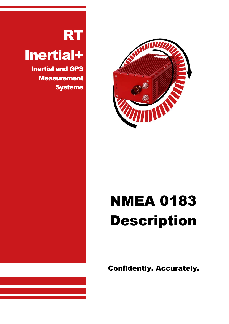

# **NMEA 0183** Description

Confidently. Accurately.

## **RT**

## Inertial+

Inertial and GPS **Measurement Systems**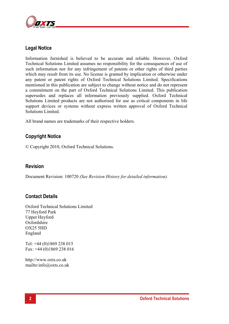

## **Legal Notice**

Information furnished is believed to be accurate and reliable. However, Oxford Technical Solutions Limited assumes no responsibility for the consequences of use of such information nor for any infringement of patents or other rights of third parties which may result from its use. No license is granted by implication or otherwise under any patent or patent rights of Oxford Technical Solutions Limited. Specifications mentioned in this publication are subject to change without notice and do not represent a commitment on the part of Oxford Technical Solutions Limited. This publication supersedes and replaces all information previously supplied. Oxford Technical Solutions Limited products are not authorised for use as critical components in life support devices or systems without express written approval of Oxford Technical Solutions Limited.

All brand names are trademarks of their respective holders.

## **Copyright Notice**

© Copyright 2010, Oxford Technical Solutions.

## **Revision**

Document Revision: 100720 *(See Revision History for detailed information).* 

## **Contact Details**

Oxford Technical Solutions Limited 77 Heyford Park Upper Heyford **Oxfordshire** OX25 5HD England

Tel: +44 (0)1869 238 015 Fax: +44 (0)1869 238 016

http://www.oxts.co.uk mailto:info@oxts.co.uk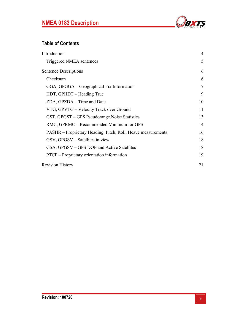

## **Table of Contents**

| Introduction                                                 | 4              |
|--------------------------------------------------------------|----------------|
| Triggered NMEA sentences                                     | 5              |
| <b>Sentence Descriptions</b>                                 | 6              |
| Checksum                                                     | 6              |
| GGA, GPGGA – Geographical Fix Information                    | $\overline{7}$ |
| HDT, GPHDT - Heading True                                    | 9              |
| ZDA, GPZDA – Time and Date                                   | 10             |
| VTG, GPVTG – Velocity Track over Ground                      | 11             |
| GST, GPGST – GPS Pseudorange Noise Statistics                | 13             |
| RMC, GPRMC – Recommended Minimum for GPS                     | 14             |
| PASHR – Proprietary Heading, Pitch, Roll, Heave measurements | 16             |
| GSV, GPGSV – Satellites in view                              | 18             |
| GSA, GPGSV – GPS DOP and Active Satellites                   | 18             |
| PTCF – Proprietary orientation information                   | 19             |
| <b>Revision History</b>                                      | 21             |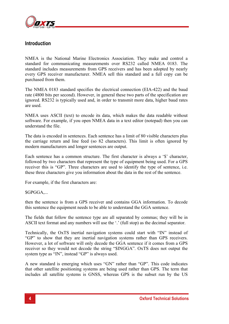

#### **Introduction**

NMEA is the National Marine Electronics Association. They make and control a standard for communicating measurements over RS232 called NMEA 0183. The standard includes measurements from GPS receivers and has been adopted by nearly every GPS receiver manufacturer. NMEA sell this standard and a full copy can be purchased from them.

The NMEA 0183 standard specifies the electrical connection (EIA-422) and the baud rate (4800 bits per second). However, in general these two parts of the specification are ignored. RS232 is typically used and, in order to transmit more data, higher baud rates are used.

NMEA uses ASCII (text) to encode its data, which makes the data readable without software. For example, if you open NMEA data in a text editor (notepad) then you can understand the file.

The data is encoded in sentences. Each sentence has a limit of 80 visible characters plus the carriage return and line feed (so 82 characters). This limit is often ignored by modern manufacturers and longer sentences are output.

Each sentence has a common structure. The first character is always a '\$' character, followed by two characters that represent the type of equipment being used. For a GPS receiver this is "GP". Three characters are used to identify the type of sentence, i.e. these three characters give you information about the data in the rest of the sentence.

For example, if the first characters are:

\$GPGGA,...

then the sentence is from a GPS receiver and contains GGA information. To decode this sentence the equipment needs to be able to understand the GGA sentence.

The fields that follow the sentence type are all separated by commas; they will be in ASCII text format and any numbers will use the '.' (full stop) as the decimal separator.

Technically, the OxTS inertial navigation systems could start with "IN" instead of "GP" to show that they are inertial navigation systems rather than GPS receivers. However, a lot of software will only decode the GGA sentence if it comes from a GPS receiver so they would not decode the string "\$INGGA". OxTS does not output the system type as "IN", instead "GP" is always used.

A new standard is emerging which uses "GN" rather than "GP". This code indicates that other satellite positioning systems are being used rather than GPS. The term that includes all satellite systems is GNSS, whereas GPS is the subset run by the US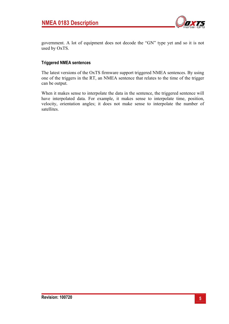

government. A lot of equipment does not decode the "GN" type yet and so it is not used by OxTS.

#### **Triggered NMEA sentences**

The latest versions of the OxTS firmware support triggered NMEA sentences. By using one of the triggers in the RT, an NMEA sentence that relates to the time of the trigger can be output.

When it makes sense to interpolate the data in the sentence, the triggered sentence will have interpolated data. For example, it makes sense to interpolate time, position, velocity, orientation angles; it does not make sense to interpolate the number of satellites.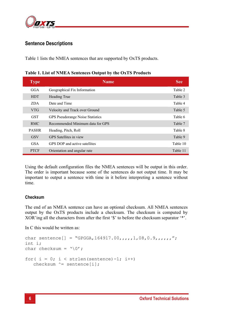

## **Sentence Descriptions**

Table 1 lists the NMEA sentences that are supported by OxTS products.

| <b>Type</b>  | <b>Name</b>                             | <b>See</b> |
|--------------|-----------------------------------------|------------|
| GGA          | Geographical Fix Information            | Table 2    |
| <b>HDT</b>   | Heading True                            | Table 3    |
| ZDA.         | Date and Time                           | Table 4    |
| <b>VTG</b>   | Velocity and Track over Ground          | Table 5    |
| <b>GST</b>   | <b>GPS</b> Pseudorange Noise Statistics | Table 6    |
| <b>RMC</b>   | Recommended Minimum data for GPS        | Table 7    |
| <b>PASHR</b> | Heading, Pitch, Roll                    | Table 8    |
| <b>GSV</b>   | GPS Satellites in view                  | Table 9    |
| <b>GSA</b>   | GPS DOP and active satellites           | Table 10   |
| <b>PTCF</b>  | Orientation and angular rate            | Table 11   |

**Table 1. List of NMEA Sentences Output by the OxTS Products** 

Using the default configuration files the NMEA sentences will be output in this order. The order is important because some of the sentences do not output time. It may be important to output a sentence with time in it before interpreting a sentence without time.

#### **Checksum**

The end of an NMEA sentence can have an optional checksum. All NMEA sentences output by the OxTS products include a checksum. The checksum is computed by XOR'ing all the characters from after the first '\$' to before the checksum separator '\*'.

In C this would be written as:

```
char sentence [] = "GPGGA, 164917.00, 111, 08, 0.9, 111, 17";
int i; 
char checksum = \sqrt{0'};
for( i = 0; i < strlen(sentence)-1; i++)checksum ^{\wedge} = sentence[i];
```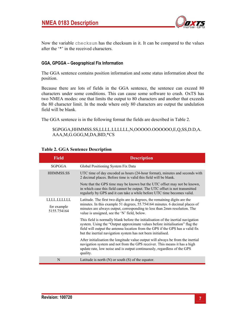

Now the variable checksum has the checksum in it. It can be compared to the values after the '\*' in the received characters.

#### **GGA, GPGGA – Geographical Fix Information**

The GGA sentence contains position information and some status information about the position.

Because there are lots of fields in the GGA sentence, the sentence can exceed 80 characters under some conditions. This can cause some software to crash. OxTS has two NMEA modes: one that limits the output to 80 characters and another that exceeds the 80 character limit. In the mode where only 80 characters are output the undulation field will be blank.

The GGA sentence is in the following format the fields are described in Table 2.

\$GPGGA,HHMMSS.SS,LLLL.LLLLLL,N,OOOOO.OOOOOO,E,Q,SS,D.D,A. AAA,M,G.GGG,M,DA,BID,\*CS

| <b>Field</b>                            | <b>Description</b>                                                                                                                                                                                                                                                                                                  |
|-----------------------------------------|---------------------------------------------------------------------------------------------------------------------------------------------------------------------------------------------------------------------------------------------------------------------------------------------------------------------|
| <b>SGPGGA</b>                           | Global Positioning System Fix Data                                                                                                                                                                                                                                                                                  |
| <b>HHMMSS.SS</b>                        | UTC time of day encoded as hours (24-hour format), minutes and seconds with<br>2 decimal places. Before time is valid this field will be blank.                                                                                                                                                                     |
|                                         | Note that the GPS time may be known but the UTC offset may not be known,<br>in which case this field cannot be output. The UTC offset is not transmitted<br>regularly by GPS and it can take a while before UTC time becomes valid.                                                                                 |
| LLLLLLLLL<br>for example<br>5155.754164 | Latitude. The first two digits are in degrees, the remaining digits are the<br>minutes. In this example 51 degrees, 55.754164 minutes. 6 decimal places of<br>minutes are always output, corresponding to less than 2mm resolution. The<br>value is unsigned, see the 'N' field, below.                             |
|                                         | This field is normally blank before the initialisation of the inertial navigation<br>system. Using the "Output approximate values before initialisation" flag the<br>field will output the antenna location from the GPS if the GPS has a valid fix<br>but the inertial navigation system has not been initialised. |
|                                         | After initialisation the longitude value output will always be from the inertial<br>navigation system and not from the GPS receiver. This means it has a high<br>update rate, low noise and is output continuously, regardless of the GPS<br>quality.                                                               |
| N                                       | Latitude is north $(N)$ or south $(S)$ of the equator.                                                                                                                                                                                                                                                              |

#### **Table 2. GGA Sentence Description**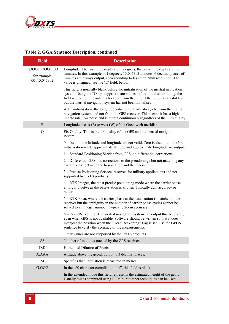

#### **Table 2. GGA Sentence Description, continued**

| <b>Field</b>                                | <b>Description</b>                                                                                                                                                                                                                                                                                                   |
|---------------------------------------------|----------------------------------------------------------------------------------------------------------------------------------------------------------------------------------------------------------------------------------------------------------------------------------------------------------------------|
| 00000.000000<br>for example<br>00115.045302 | Longitude. The first three digits are in degrees, the remaining digits are the<br>minutes. In this example 001 degrees, 15.045302 minutes. 6 decimal places of<br>minutes are always output, corresponding to less than 2mm resolution. The<br>value is unsigned; see the 'E' field, below.                          |
|                                             | This field is normally blank before the initialisation of the inertial navigation<br>system. Using the "Output approximate values before initialisation" flag, the<br>field will output the antenna location from the GPS if the GPS has a valid fix<br>but the inertial navigation system has not been initialised. |
|                                             | After initialisation, the longitude value output will always be from the inertial<br>navigation system and not from the GPS receiver. This means it has a high<br>update rate, low noise and is output continuously regardless of the GPS quality.                                                                   |
| E                                           | Longitude is east $(E)$ or west $(W)$ of the Greenwich meridian.                                                                                                                                                                                                                                                     |
| Q                                           | Fix Quality. This is the fix quality of the GPS and the inertial navigation<br>system.                                                                                                                                                                                                                               |
|                                             | $0$ – Invalid, the latitude and longitude are not valid. Zero is also output before<br>initialisation while approximate latitude and approximate longitude are output.                                                                                                                                               |
|                                             | 1 – Standard Positioning Service from GPS, no differential corrections.                                                                                                                                                                                                                                              |
|                                             | 2 – Differential GPS, i.e. corrections to the pseudorange but not matching any<br>carrier phase between the base-station and the receiver.                                                                                                                                                                           |
|                                             | 3 – Precise Positioning Service, reserved for military applications and not<br>supported by OxTS products.                                                                                                                                                                                                           |
|                                             | 4 – RTK Integer, the most precise positioning mode where the carrier phase<br>ambiguity between the base-station is known. Typically 2cm accuracy or<br>better.                                                                                                                                                      |
|                                             | 5 – RTK Float, where the carrier-phase at the base-station is matched to the<br>receiver but the ambiguity in the number of carrier phase cycles cannot be<br>solved to an integer number. Typically 20cm accuracy.                                                                                                  |
|                                             | 6 – Dead Reckoning. The inertial navigation system can output this accurately<br>even when GPS is not available. Software should be written so that it does<br>interpret the position when the "Dead Reckoning" flag is set. Use the GPGST<br>sentence to verify the accuracy of the measurements.                   |
|                                             | Other values are not supported by the OxTS products.                                                                                                                                                                                                                                                                 |
| <b>SS</b>                                   | Number of satellites tracked by the GPS receiver.                                                                                                                                                                                                                                                                    |
| D.D                                         | Horizontal Dilution of Precision.                                                                                                                                                                                                                                                                                    |
| A.AAA                                       | Altitude above the geoid, output to 3 decimal places.                                                                                                                                                                                                                                                                |
| M                                           | Specifies that undulation is measured in metres.                                                                                                                                                                                                                                                                     |
| G.GGG                                       | In the "80 character compliant mode", this field is blank.                                                                                                                                                                                                                                                           |
|                                             | In the extended mode this field represents the estimated height of the geoid.<br>Usually this is computed using EGM96 but other techniques can be used.                                                                                                                                                              |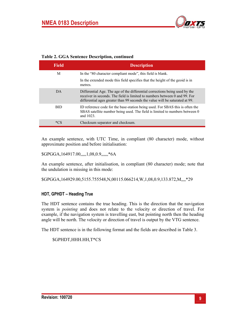

| <b>Table 2. GGA Sentence Description, continued</b> |  |
|-----------------------------------------------------|--|
|-----------------------------------------------------|--|

| <b>Field</b> | <b>Description</b>                                                                                                                                                                                                                        |
|--------------|-------------------------------------------------------------------------------------------------------------------------------------------------------------------------------------------------------------------------------------------|
| M            | In the "80 character compliant mode", this field is blank.                                                                                                                                                                                |
|              | In the extended mode this field specifies that the height of the geoid is in<br>metres.                                                                                                                                                   |
| DA           | Differential Age. The age of the differential corrections being used by the<br>receiver in seconds. The field is limited to numbers between 0 and 99. For<br>differential ages greater than 99 seconds the value will be saturated at 99. |
| <b>BID</b>   | ID reference code for the base-station being used. For SBAS this is often the<br>SBAS satellite number being used. The field is limited to numbers between 0<br>and 1023.                                                                 |
| *CS          | Checksum separator and checksum.                                                                                                                                                                                                          |

An example sentence, with UTC Time, in compliant (80 character) mode, without approximate position and before initialisation:

\$GPGGA,164917.00,,,,,1,08,0.9,,,,,,\*6A

An example sentence, after initialisation, in compliant (80 character) mode; note that the undulation is missing in this mode:

\$GPGGA,164929.00,5155.755548,N,00115.066214,W,1,08,0.9,133.872,M,,,,\*29

#### **HDT, GPHDT – Heading True**

The HDT sentence contains the true heading. This is the direction that the navigation system is *pointing* and does not relate to the velocity or direction of travel. For example, if the navigation system is travelling east, but pointing north then the heading angle will be north. The velocity or direction of travel is output by the VTG sentence.

The HDT sentence is in the following format and the fields are described in Table 3.

\$GPHDT,HHH.HH,T\*CS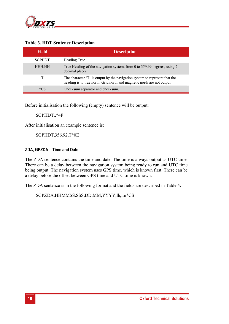

| <b>Field</b>  | <b>Description</b>                                                                                                                                    |
|---------------|-------------------------------------------------------------------------------------------------------------------------------------------------------|
| <b>SGPHDT</b> | Heading True                                                                                                                                          |
| HHH HH        | True Heading of the navigation system, from 0 to 359.99 degrees, using 2<br>decimal places.                                                           |
|               | The character 'T' is output by the navigation system to represent that the<br>heading is to true north. Grid north and magnetic north are not output. |
| *CS           | Checksum separator and checksum.                                                                                                                      |

#### **Table 3. HDT Sentence Description**

Before initialisation the following (empty) sentence will be output:

#### \$GPHDT,,\*4F

After initialisation an example sentence is:

\$GPHDT,356.92,T\*0E

#### **ZDA, GPZDA – Time and Date**

The ZDA sentence contains the time and date. The time is always output as UTC time. There can be a delay between the navigation system being ready to run and UTC time being output. The navigation system uses GPS time, which is known first. There can be a delay before the offset between GPS time and UTC time is known.

The ZDA sentence is in the following format and the fields are described in Table 4.

\$GPZDA,HHMMSS.SSS,DD,MM,YYYY,lh,lm\*CS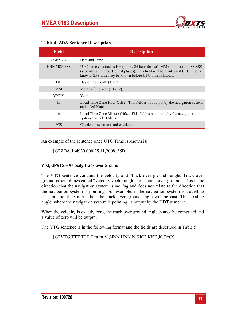

| <b>Field</b>      | <b>Description</b>                                                                                                                                                                                                   |
|-------------------|----------------------------------------------------------------------------------------------------------------------------------------------------------------------------------------------------------------------|
| <b>SGPZDA</b>     | Date and Time                                                                                                                                                                                                        |
| <b>HHMMSS SSS</b> | UTC Time encoded as HH (hours, 24 hour format), MM (minutes) and SS.SSS<br>(seconds with three decimal places). This field will be blank until UTC time is<br>known. GPS time may be known before UTC time is known. |
| DD                | Day of the month $(1 \text{ to } 31)$ .                                                                                                                                                                              |
| MM <sub></sub>    | Month of the year $(1 \text{ to } 12)$ .                                                                                                                                                                             |
| YYYY              | Year.                                                                                                                                                                                                                |
| 1 <sub>h</sub>    | Local Time Zone Hour Offset. This field is not output by the navigation system<br>and is left blank.                                                                                                                 |
| <sub>lm</sub>     | Local Time Zone Minute Offset. This field is not output by the navigation<br>system and is left blank.                                                                                                               |
| $*C$ s            | Checksum separator and checksum.                                                                                                                                                                                     |

#### **Table 4. ZDA Sentence Description**

An example of the sentence once UTC Time is known is:

\$GPZDA,164939.000,25,11,2008,,\*5B

#### **VTG, GPVTG – Velocity Track over Ground**

The VTG sentence contains the velocity and "track over ground" angle. Track over ground is sometimes called "velocity vector angle" or "course over ground". This is the direction that the navigation system is *moving* and does not relate to the direction that the navigation system is pointing. For example, if the navigation system is travelling east, but pointing north then the track over ground angle will be east. The heading angle, where the navigation system is pointing, is output by the HDT sentence.

When the velocity is exactly zero, the track over ground angle cannot be computed and a value of zero will be output.

The VTG sentence is in the following format and the fields are described in Table 5.

\$GPVTG,TTT.TTT,T,ttt.ttt,M,NNN.NNN,N,KKK.KKK,K,Q\*CS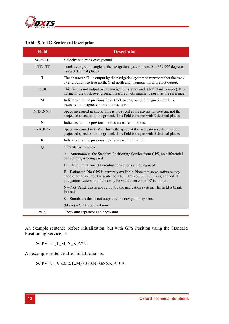

| <b>Field</b>   | <b>Description</b>                                                                                                                                                                                                              |
|----------------|---------------------------------------------------------------------------------------------------------------------------------------------------------------------------------------------------------------------------------|
| <b>\$GPVTG</b> | Velocity and track over ground.                                                                                                                                                                                                 |
| <b>TTT.TTT</b> | Track over ground angle of the navigation system, from 0 to 359.999 degrees,<br>using 3 decimal places.                                                                                                                         |
| T              | The character 'T' is output by the navigation system to represent that the track<br>over ground is to true north. Grid north and magnetic north are not output.                                                                 |
| ttt.ttt        | This field is not output by the navigation system and is left blank (empty). It is<br>normally the track over ground measured with magnetic north as the reference.                                                             |
| M              | Indicates that the previous field, track over ground to magnetic north, is<br>measured to magnetic north not true north.                                                                                                        |
| NNN.NNN        | Speed measured in knots. This is the speed at the navigation system, not the<br>projected speed on to the ground. This field is output with 3 decimal places.                                                                   |
| N              | Indicates that the previous field is measured in knots.                                                                                                                                                                         |
| <b>KKK.KKK</b> | Speed measured in km/h. This is the speed at the navigation system not the<br>projected speed on to the ground. This field is output with 3 decimal places.                                                                     |
| K              | Indicates that the previous field is measured in km/h.                                                                                                                                                                          |
| Q              | <b>GPS</b> Status Indicator                                                                                                                                                                                                     |
|                | A - Autonomous, the Standard Positioning Service from GPS, no differential<br>corrections, is being used.                                                                                                                       |
|                | D – Differential, any differential corrections are being used.                                                                                                                                                                  |
|                | E – Estimated, No GPS is currently available. Note that some software may<br>choose not to decode the sentence when 'E' is output but, using an inertial<br>navigation system, the fields may be valid even when 'E' is output. |
|                | $N$ – Not Valid; this is not output by the navigation system. The field is blank<br>instead.                                                                                                                                    |
|                | $S -$ Simulator; this is not output by the navigation system.                                                                                                                                                                   |
|                | (blank) – GPS mode unknown                                                                                                                                                                                                      |
| $*CS$          | Checksum separator and checksum.                                                                                                                                                                                                |

#### **Table 5. VTG Sentence Description**

An example sentence before initialisation, but with GPS Position using the Standard Positioning Service, is:

\$GPVTG,,T,,M,,N,,K,A\*23

An example sentence after initialisation is:

\$GPVTG,196.252,T,,M,0.370,N,0.686,K,A\*0A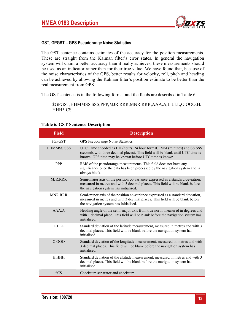

#### **GST, GPGST – GPS Pseudorange Noise Statistics**

The GST sentence contains estimates of the accuracy for the position measurements. These are straight from the Kalman filter's error states. In general the navigation system will claim a better accuracy than it really achieves; these measurements should be used as an indicator rather than for their true value. We have found that, because of the noise characteristics of the GPS, better results for velocity, roll, pitch and heading can be achieved by allowing the Kalman filter's position estimate to be better than the real measurement from GPS.

The GST sentence is in the following format and the fields are described in Table 6.

\$GPGST,HHMMSS.SSS,PPP,MJR.RRR,MNR.RRR,AAA.A,L.LLL,O.OOO,H. HHH\* CS

| <b>Field</b>      | <b>Description</b>                                                                                                                                                                                                   |
|-------------------|----------------------------------------------------------------------------------------------------------------------------------------------------------------------------------------------------------------------|
| <b>SGPGST</b>     | <b>GPS Pseudorange Noise Statistics</b>                                                                                                                                                                              |
| <b>HHMMSS.SSS</b> | UTC Time encoded as HH (hours, 24 hour format), MM (minutes) and SS.SSS<br>(seconds with three decimal places). This field will be blank until UTC time is<br>known. GPS time may be known before UTC time is known. |
| <b>PPP</b>        | RMS of the pseudorange measurements. This field does not have any<br>significance once the data has been processed by the navigation system and is<br>always blank.                                                  |
| <b>MJR RRR</b>    | Semi-major axis of the position co-variance expressed as a standard deviation,<br>measured in metres and with 3 decimal places. This field will be blank before<br>the navigation system has initialised.            |
| <b>MNR.RRR</b>    | Semi-minor axis of the position co-variance expressed as a standard deviation,<br>measured in metres and with 3 decimal places. This field will be blank before<br>the navigation system has initialised.            |
| AAA A             | Heading angle of the semi-major axis from true north, measured in degrees and<br>with 1 decimal place. This field will be blank before the navigation system has<br>initialised.                                     |
| LLLL              | Standard deviation of the latitude measurement, measured in metres and with 3<br>decimal places. This field will be blank before the navigation system has<br>initialised                                            |
| 0.000             | Standard deviation of the longitude measurement, measured in metres and with<br>3 decimal places. This field will be blank before the navigation system has<br>initialised.                                          |
| H HHH             | Standard deviation of the altitude measurement, measured in metres and with 3<br>decimal places. This field will be blank before the navigation system has<br>initialised.                                           |
| $*CS$             | Checksum separator and checksum                                                                                                                                                                                      |

#### **Table 6. GST Sentence Description**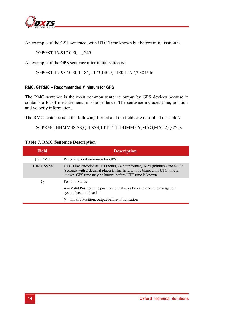

An example of the GST sentence, with UTC Time known but before initialisation is:

\$GPGST,164917.000,,,,,,,\*45

An example of the GPS sentence after initialisation is:

\$GPGST,164937.000,,1.184,1.173,140.9,1.180,1.177,2.384\*46

#### **RMC, GPRMC – Recommended Minimum for GPS**

The RMC sentence is the most common sentence output by GPS devices because it contains a lot of measurements in one sentence. The sentence includes time, position and velocity information.

The RMC sentence is in the following format and the fields are described in Table 7.

\$GPRMC,HHMMSS.SS,Q,S.SSS,TTT.TTT,DDMMYY,MAG,MAG2,Q2\*CS

#### **Table 7. RMC Sentence Description**

| Field            | <b>Description</b>                                                                                                                                                                                              |
|------------------|-----------------------------------------------------------------------------------------------------------------------------------------------------------------------------------------------------------------|
| <b>SGPRMC</b>    | Recommended minimum for GPS                                                                                                                                                                                     |
| <b>HHMMSS.SS</b> | UTC Time encoded as HH (hours, 24 hour format), MM (minutes) and SS.SS<br>(seconds with 2 decimal places). This field will be blank until UTC time is<br>known. GPS time may be known before UTC time is known. |
| Q                | Position Status.                                                                                                                                                                                                |
|                  | $A -$ Valid Position; the position will always be valid once the navigation<br>system has initialised                                                                                                           |
|                  | V - Invalid Position; output before initialisation                                                                                                                                                              |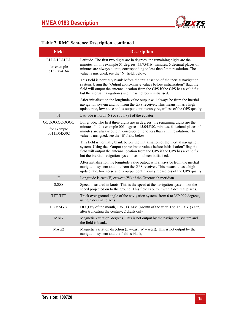

| <b>Field</b>                                | <b>Description</b>                                                                                                                                                                                                                                                                                                   |
|---------------------------------------------|----------------------------------------------------------------------------------------------------------------------------------------------------------------------------------------------------------------------------------------------------------------------------------------------------------------------|
| LLLL.LLLLLL<br>for example<br>5155.754164   | Latitude. The first two digits are in degrees, the remaining digits are the<br>minutes. In this example 51 degrees, 55.754164 minutes. 6 decimal places of<br>minutes are always output, corresponding to less than 2mm resolution. The<br>value is unsigned, see the 'N' field, below.                              |
|                                             | This field is normally blank before the initialisation of the inertial navigation<br>system. Using the "Output approximate values before initialisation" flag, the<br>field will output the antenna location from the GPS if the GPS has a valid fix<br>but the inertial navigation system has not been initialised. |
|                                             | After initialisation the longitude value output will always be from the inertial<br>navigation system and not from the GPS receiver. This means it has a high<br>update rate, low noise and is output continuously regardless of the GPS quality.                                                                    |
| N                                           | Latitude is north $(N)$ or south $(S)$ of the equator.                                                                                                                                                                                                                                                               |
| 00000.000000<br>for example<br>00115.045302 | Longitude. The first three digits are in degrees, the remaining digits are the<br>minutes. In this example 001 degrees, 15.045302 minutes. 6 decimal places of<br>minutes are always output, corresponding to less than 2mm resolution. The<br>value is unsigned, see the 'E' field, below.                          |
|                                             | This field is normally blank before the initialisation of the inertial navigation<br>system. Using the "Output approximate values before initialisation" flag the<br>field will output the antenna location from the GPS if the GPS has a valid fix<br>but the inertial navigation system has not been initialised.  |
|                                             | After initialisation the longitude value output will always be from the inertial<br>navigation system and not from the GPS receiver. This means it has a high<br>update rate, low noise and is output continuously regardless of the GPS quality.                                                                    |
| E                                           | Longitude is east $(E)$ or west $(W)$ of the Greenwich meridian.                                                                                                                                                                                                                                                     |
| S.SSS                                       | Speed measured in knots. This is the speed at the navigation system, not the<br>speed projected on to the ground. This field is output with 3 decimal places.                                                                                                                                                        |
| TTT.TTT                                     | Track over ground angle of the navigation system, from 0 to 359.999 degrees,<br>using 3 decimal places.                                                                                                                                                                                                              |
| <b>DDMMYY</b>                               | DD (Day of the month, 1 to 31). MM (Month of the year, 1 to 12), YY (Year,<br>after truncating the century, 2 digits only).                                                                                                                                                                                          |
| <b>MAG</b>                                  | Magnetic variation, degrees. This is not output by the navigation system and<br>the field is blank.                                                                                                                                                                                                                  |
| MAG2                                        | Magnetic variation direction ( $E - east$ , $W - west$ ). This is not output by the<br>navigation system and the field is blank,                                                                                                                                                                                     |

## **Table 7. RMC Sentence Description, continued**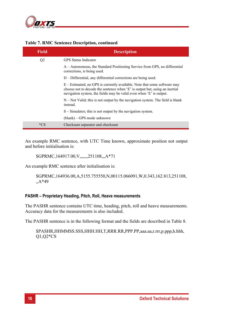

| <b>Field</b>   | <b>Description</b>                                                                                                                                                                                                                |
|----------------|-----------------------------------------------------------------------------------------------------------------------------------------------------------------------------------------------------------------------------------|
| Q <sub>2</sub> | <b>GPS</b> Status Indicator                                                                                                                                                                                                       |
|                | A – Autonomous, the Standard Positioning Service from GPS, no differential<br>corrections, is being used.                                                                                                                         |
|                | D – Differential, any differential corrections are being used.                                                                                                                                                                    |
|                | $E$ – Estimated, no GPS is currently available. Note that some software may<br>choose not to decode the sentence when 'E' is output but, using an inertial<br>navigation system, the fields may be valid even when 'E' is output. |
|                | $N$ – Not Valid; this is not output by the navigation system. The field is blank<br>instead.                                                                                                                                      |
|                | $S -$ Simulator; this is not output by the navigation system.                                                                                                                                                                     |
|                | (blank) – GPS mode unknown                                                                                                                                                                                                        |
| *CS            | Checksum separator and checksum                                                                                                                                                                                                   |

#### **Table 7. RMC Sentence Description, continued**

An example RMC sentence, with UTC Time known, approximate position not output and before initialisation is:

\$GPRMC,164917.00, V,,,,,,,,251108,,,A\*71

An example RMC sentence after initialisation is:

\$GPRMC,164936.00,A,5155.755550,N,00115.066091,W,0.343,162.813,251108, ,,A\*49

#### **PASHR – Proprietary Heading, Pitch, Roll, Heave measurements**

The PASHR sentence contains UTC time, heading, pitch, roll and heave measurements. Accuracy data for the measurements is also included.

The PASHR sentence is in the following format and the fields are described in Table 8.

\$PASHR,HHMMSS.SSS,HHH.HH,T,RRR.RR,PPP.PP,aaa.aa,r.rrr,p.ppp,h.hhh, Q1,Q2\*CS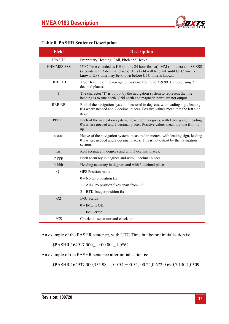

#### **Table 8. PASHR Sentence Description**

| <b>Field</b>   | <b>Description</b>                                                                                                                                                                                               |
|----------------|------------------------------------------------------------------------------------------------------------------------------------------------------------------------------------------------------------------|
| <b>SPASHR</b>  | Proprietary Heading, Roll, Pitch and Heave                                                                                                                                                                       |
| HHMMSS.SSS     | UTC Time encoded as HH (hours, 24 hour format), MM (minutes) and SS.SSS<br>(seconds with 3 decimal places). This field will be blank until UTC time is<br>known. GPS time may be known before UTC time is known. |
| HHH.HH         | True Heading of the navigation system, from 0 to 359.99 degrees, using 2<br>decimal places.                                                                                                                      |
| T              | The character 'T' is output by the navigation system to represent that the<br>heading is to true north. Grid north and magnetic north are not output.                                                            |
| RRR.RR         | Roll of the navigation system, measured in degrees, with leading sign, leading<br>0's where needed and 2 decimal places. Positive values mean that the left side<br>is up.                                       |
| PPP.PP         | Pitch of the navigation system, measured in degrees, with leading sign, leading<br>0's where needed and 2 decimal places. Positive values mean that the front is<br>up.                                          |
| aaa.aa         | Heave of the navigation system, measured in metres, with leading sign, leading<br>0's where needed and 2 decimal places. This is not output by the navigation<br>system.                                         |
| r.rrr          | Roll accuracy in degrees and with 3 decimal places.                                                                                                                                                              |
| p.ppp          | Pitch accuracy in degrees and with 3 decimal places.                                                                                                                                                             |
| h.hhh          | Heading accuracy in degrees and with 3 decimal places.                                                                                                                                                           |
| Q <sub>1</sub> | GPS Position mode.                                                                                                                                                                                               |
|                | $0$ – No GPS position fix                                                                                                                                                                                        |
|                | $1 - All GPS position fixes apart from "2"$                                                                                                                                                                      |
|                | $2 - RTK$ Integer position fix                                                                                                                                                                                   |
| Q2             | <b>IMU Status</b>                                                                                                                                                                                                |
|                | $0$ – IMU is OK                                                                                                                                                                                                  |
|                | $1 - IMU$ error                                                                                                                                                                                                  |
| $*_{CS}$       | Checksum separator and checksum                                                                                                                                                                                  |

An example of the PASHR sentence, with UTC Time but before initialisation is:

\$PASHR,164917.000,,,,,+00.00,,,,1,0\*62

An example of the PASHR sentence after initialisation is:

\$PASHR,164937.000,355.98,T,-00.54,+00.54,-00.24,0.672,0.690,7.130,1,0\*09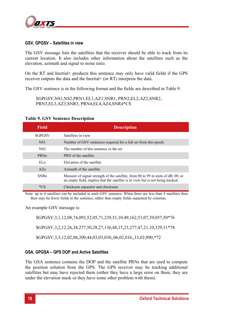

#### **GSV, GPGSV – Satellites in view**

The GSV message lists the satellites that the receiver should be able to track from its current location. It also includes other information about the satellites such as the elevation, azimuth and signal to noise ratio.

On the RT and Inertial+ products this sentence may only have valid fields if the GPS receiver outputs the data and the Inertial+ (or RT) interprets the data.

The GSV sentence is in the following format and the fields are described in Table 9.

\$GPGSV,NS1,NS2,PRN1,EL1,AZ1,SNR1, PRN2,EL2,AZ2,SNR2, PRN3,EL3,AZ3,SNR3, PRN4,EL4,AZ4,SNR4\*CS

| <b>Field</b>    | <b>Description</b>                                                                                                                                                   |
|-----------------|----------------------------------------------------------------------------------------------------------------------------------------------------------------------|
| <b>SGPGSV</b>   | Satellites in view                                                                                                                                                   |
| NS <sub>1</sub> | Number of GSV sentences required for a full set from this epoch.                                                                                                     |
| NS <sub>2</sub> | The number of this sentence in the set                                                                                                                               |
| PRNn            | PRN of the satellite                                                                                                                                                 |
| E[ <i>n</i> ]   | Elevation of the satellite                                                                                                                                           |
| A Zn            | Azimuth of the satellite                                                                                                                                             |
| SNRn            | Measure of signal strength of the satellite, from 00 to 99 in units of dB. 00, or<br>an empty field, implies that the satellite is in view but is not being tracked. |
| $*_{CS}$        | Checksum separator and checksum                                                                                                                                      |

#### **Table 9. GSV Sentence Description**

Note: up to 4 satellites can be included in each GSV sentence. When there are less than 4 satellites then their may be fewer fields in the sentence, rather than empty fields separated by commas.

An example GSV message is:

\$GPGSV,3,1,12,08,74,093,52,05,71,239,51,10,49,162,51,07,39,057,50\*76

\$GPGSV,3,2,12,26,38,277,50,28,27,136,48,15,23,277,47,21,10,329,31\*78

\$GPGSV,3,3,12,02,08,209,44,03,03,030,,06,02,016,,13,02,090,\*72

#### **GSA, GPGSA – GPS DOP and Active Satellites**

The GSA sentence contains the DOP and the satellite PRNs that are used to compute the position solution from the GPS. The GPS receiver may be tracking additional satellites but may have rejected them (either they have a large error on them, they are under the elevation mask or they have some other problem with them).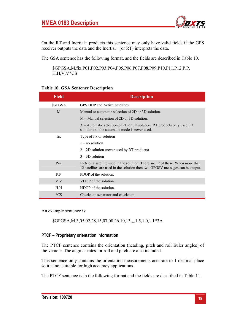

On the RT and Inertial+ products this sentence may only have valid fields if the GPS receiver outputs the data and the Inertial+ (or RT) interprets the data.

The GSA sentence has the following format, and the fields are described in Table 10.

\$GPGSA,M,fix,P01,P02,P03,P04,P05,P06,P07,P08,P09,P10,P11,P12,P.P, H.H,V.V\*CS

#### **Table 10. GSA Sentence Description**

| <b>Field</b>  | <b>Description</b>                                                                                                                                               |
|---------------|------------------------------------------------------------------------------------------------------------------------------------------------------------------|
| <b>SGPGSA</b> | <b>GPS DOP and Active Satellites</b>                                                                                                                             |
| M             | Manual or automatic selection of 2D or 3D solution.                                                                                                              |
|               | $M -$ Manual selection of 2D or 3D solution.                                                                                                                     |
|               | A – Automatic selection of 2D or 3D solution. RT products only used 3D<br>solutions so the automatic mode is never used.                                         |
| fix           | Type of fix or solution                                                                                                                                          |
|               | $1 - no$ solution                                                                                                                                                |
|               | $2 - 2D$ solution (never used by RT products)                                                                                                                    |
|               | $3 - 3D$ solution                                                                                                                                                |
| $P_{nn}$      | PRN of a satellite used in the solution. There are 12 of these. When more than<br>12 satellities are used in the solution then two GPGSV messages can be output. |
| P.P           | PDOP of the solution.                                                                                                                                            |
| V.V           | VDOP of the solution.                                                                                                                                            |
| H.H           | HDOP of the solution.                                                                                                                                            |
| $*_{CS}$      | Checksum separator and checksum                                                                                                                                  |

An example sentence is:

\$GPGSA,M,3,05,02,28,15,07,08,26,10,13,,,,1.5,1.0,1.1\*3A

#### **PTCF – Proprietary orientation information**

The PTCF sentence contains the orientation (heading, pitch and roll Euler angles) of the vehicle. The angular rates for roll and pitch are also included.

This sentence only contains the orientation measurements accurate to 1 decimal place so it is not suitable for high accuracy applications.

The PTCF sentence is in the following format and the fields are described in Table 11.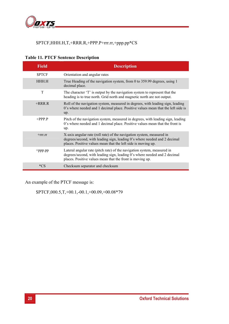

#### \$PTCF,HHH.H,T,+RRR.R,+PPP.P+rrr.rr,+ppp.pp\*CS

| <b>Field</b>  | <b>Description</b>                                                                                                                                                                                                  |
|---------------|---------------------------------------------------------------------------------------------------------------------------------------------------------------------------------------------------------------------|
| <b>SPTCF</b>  | Orientation and angular rates                                                                                                                                                                                       |
| <b>HHH H</b>  | True Heading of the navigation system, from 0 to 359.99 degrees, using 1<br>decimal place.                                                                                                                          |
| T             | The character 'T' is output by the navigation system to represent that the<br>heading is to true north. Grid north and magnetic north are not output.                                                               |
| $+RRR$ R      | Roll of the navigation system, measured in degrees, with leading sign, leading<br>0's where needed and 1 decimal place. Positive values mean that the left side is<br>up.                                           |
| $+$ PPP P     | Pitch of the navigation system, measured in degrees, with leading sign, leading<br>0's where needed and 1 decimal place. Positive values mean that the front is<br>up.                                              |
| $+rrr$ . $rr$ | X-axis angular rate (roll rate) of the navigation system, measured in<br>degrees/second, with leading sign, leading 0's where needed and 2 decimal<br>places. Positive values mean that the left side is moving up. |
| $+$ ppp.pp    | Lateral angular rate (pitch rate) of the navigation system, measured in<br>degrees/second, with leading sign, leading 0's where needed and 2 decimal<br>places. Positive values mean that the front is moving up.   |
| *CS           | Checksum separator and checksum                                                                                                                                                                                     |

## **Table 11. PTCF Sentence Description**

An example of the PTCF message is:

\$PTCF,000.5,T,+00.1,-00.1,+00.09,+00.08\*79